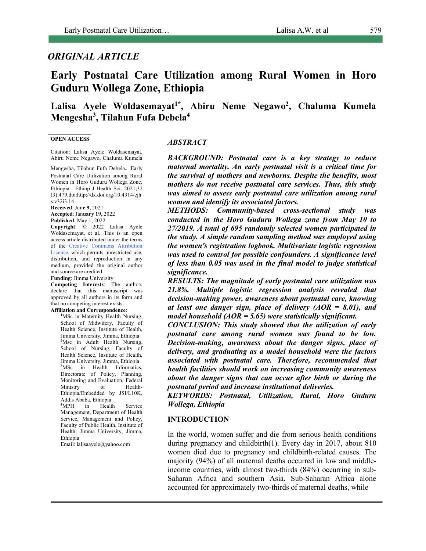## *ORIGINAL ARTICLE*

# **Early Postnatal Care Utilization among Rural Women in Horo Guduru Wollega Zone, Ethiopia**

## Lalisa Ayele Woldasemayat<sup>1\*</sup>, Abiru Neme Negawo<sup>2</sup>, Chaluma Kumela **Mengesha3 , Tilahun Fufa Debela4**

#### **OPEN ACCESS**

Citation: Lalisa Ayele Woldasemayat, Abiru Neme Negawo, Chaluma Kumela

Mengesha, Tilahun Fufa Debela. Early Postnatal Care Utilization among Rural Women in Horo Guduru Wollega Zone, Ethiopia. Ethiop J Health Sci. 2021;32 (3):479.doi:http://dx.doi.org/10.4314/ejh s.v32i3.14

**Received**: Jun**e 9,** 2021 **Accepted**: Jan**uary 19,** 2022

**Published**: May 1, 2022

**Copyright**: © 2022 Lalisa Ayele Woldasemayat, et al. This is an open access article distributed under the terms of the Creative Commons Attribution License, which permits unrestricted use, distribution, and reproduction in any medium, provided the original author and source are credited.

**Funding**: Jimma University

**Competing Interests**: The authors declare that this manuscript was approved by all authors in its form and that no competing interest exists.

**Affiliation and Correspondence**:

<sup>1</sup>MSc in Maternity Health Nursing, School of Midwifery, Faculty of Health Science, Institute of Health, Jimma University, Jimma, Ethiopia <sup>2</sup>Msc in Adult Health Nursing, School of Nursing, Faculty of Health Science, Institute of Health, Jimma University, Jimma, Ethiopia <sup>3</sup>MSc in Health Informatics, Directorate of Policy, Planning, Monitoring and Evaluation, Federal Ministry of Health-Ethiopia/Embedded by JSI/L10K, Addis Ababa, Ethiopia **4** MPH in Health Service Management, Department of Health Service, Management and Policy, Faculty of Public Health, Institute of Health, Jimma University, Jimma, Ethiopia

Email: lalisaayele@yahoo.com

#### *ABSTRACT*

*BACKGROUND: Postnatal care is a key strategy to reduce maternal mortality. An early postnatal visit is a critical time for the survival of mothers and newborns. Despite the benefits, most mothers do not receive postnatal care services. Thus, this study was aimed to assess early postnatal care utilization among rural women and identify its associated factors.*

*METHODS: Community-based cross-sectional study was conducted in the Horo Guduru Wollega zone from May 10 to 27/2019. A total of 695 randomly selected women participated in the study. A simple random sampling method was employed using the women's registration logbook. Multivariate logistic regression was used to control for possible confounders. A significance level of less than 0.05 was used in the final model to judge statistical significance.*

*RESULTS: The magnitude of early postnatal care utilization was 21.8%. Multiple logistic regression analysis revealed that decision-making power, awareness about postnatal care, knowing at least one danger sign, place of delivery (AOR = 8.01), and model household (AOR = 5.65) were statistically significant.* 

*CONCLUSION: This study showed that the utilization of early postnatal care among rural women was found to be low. Decision-making, awareness about the danger signs, place of delivery, and graduating as a model household were the factors associated with postnatal care. Therefore, recommended that health facilities should work on increasing community awareness about the danger signs that can occur after birth or during the postnatal period and increase institutional deliveries.* 

*KEYWORDS: Postnatal, Utilization, Rural, Horo Guduru Wollega, Ethiopia* 

#### **INTRODUCTION**

In the world, women suffer and die from serious health conditions during pregnancy and childbirth(1). Every day in 2017, about 810 women died due to pregnancy and childbirth-related causes. The majority (94%) of all maternal deaths occurred in low and middleincome countries, with almost two-thirds (84%) occurring in sub-Saharan Africa and southern Asia. Sub-Saharan Africa alone accounted for approximately two-thirds of maternal deaths, while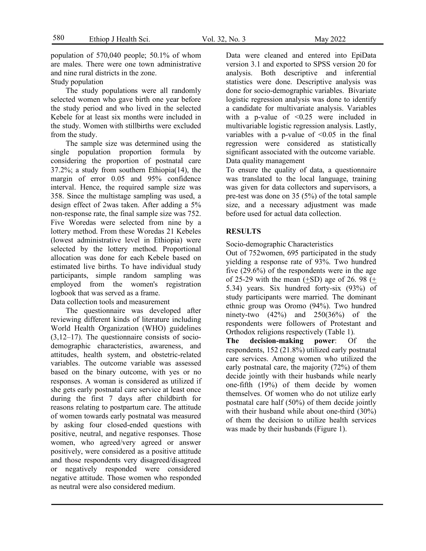population of 570,040 people; 50.1% of whom are males. There were one town administrative and nine rural districts in the zone.

Study population

The study populations were all randomly selected women who gave birth one year before the study period and who lived in the selected Kebele for at least six months were included in the study. Women with stillbirths were excluded from the study.

The sample size was determined using the single population proportion formula by considering the proportion of postnatal care 37.2%; a study from southern Ethiopia(14), the margin of error 0.05 and 95% confidence interval. Hence, the required sample size was 358. Since the multistage sampling was used, a design effect of 2was taken. After adding a 5% non-response rate, the final sample size was 752. Five Woredas were selected from nine by a lottery method. From these Woredas 21 Kebeles (lowest administrative level in Ethiopia) were selected by the lottery method. Proportional allocation was done for each Kebele based on estimated live births. To have individual study participants, simple random sampling was employed from the women's registration logbook that was served as a frame.

Data collection tools and measurement

The questionnaire was developed after reviewing different kinds of literature including World Health Organization (WHO) guidelines (3,12–17). The questionnaire consists of sociodemographic characteristics, awareness, and attitudes, health system, and obstetric-related variables. The outcome variable was assessed based on the binary outcome, with yes or no responses. A woman is considered as utilized if she gets early postnatal care service at least once during the first 7 days after childbirth for reasons relating to postpartum care. The attitude of women towards early postnatal was measured by asking four closed-ended questions with positive, neutral, and negative responses. Those women, who agreed/very agreed or answer positively, were considered as a positive attitude and those respondents very disagreed/disagreed or negatively responded were considered negative attitude. Those women who responded as neutral were also considered medium.

Data were cleaned and entered into EpiData version 3.1 and exported to SPSS version 20 for analysis. Both descriptive and inferential statistics were done. Descriptive analysis was done for socio-demographic variables. Bivariate logistic regression analysis was done to identify a candidate for multivariate analysis. Variables with a p-value of  $\leq 0.25$  were included in multivariable logistic regression analysis. Lastly, variables with a p-value of  $\leq 0.05$  in the final regression were considered as statistically significant associated with the outcome variable. Data quality management

To ensure the quality of data, a questionnaire was translated to the local language, training was given for data collectors and supervisors, a pre-test was done on 35 (5%) of the total sample size, and a necessary adjustment was made before used for actual data collection.

## **RESULTS**

Socio-demographic Characteristics

Out of 752women, 695 participated in the study yielding a response rate of 93%. Two hundred five (29.6%) of the respondents were in the age of 25-29 with the mean  $(\pm SD)$  age of 26. 98  $(\pm$ 5.34) years. Six hundred forty-six (93%) of study participants were married. The dominant ethnic group was Oromo (94%). Two hundred ninety-two  $(42\%)$  and  $250(36\%)$  of the respondents were followers of Protestant and Orthodox religions respectively (Table 1).

**The decision-making power**: Of the respondents, 152 (21.8%) utilized early postnatal care services. Among women who utilized the early postnatal care, the majority (72%) of them decide jointly with their husbands while nearly one-fifth (19%) of them decide by women themselves. Of women who do not utilize early postnatal care half (50%) of them decide jointly with their husband while about one-third  $(30\%)$ of them the decision to utilize health services was made by their husbands (Figure 1).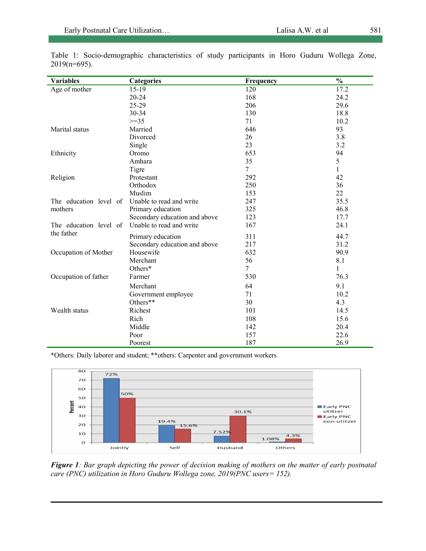| <b>Variables</b>       | <b>Categories</b>             | Frequency | $\frac{0}{0}$ |
|------------------------|-------------------------------|-----------|---------------|
| Age of mother          | $15-19$                       | 120       | 17.2          |
|                        | $20 - 24$                     | 168       | 24.2          |
|                        | 25-29                         | 206       | 29.6          |
|                        | 30-34                         | 130       | 18.8          |
|                        | $>=35$                        | 71        | 10.2          |
| Marital status         | Married                       | 646       | 93            |
|                        | Divorced                      | 26        | 3.8           |
|                        | Single                        | 23        | 3.2           |
| Ethnicity              | Oromo                         | 653       | 94            |
|                        | Amhara                        | 35        | 5             |
|                        | Tigre                         | 7         | $\mathbf{1}$  |
| Religion               | Protestant                    | 292       | 42            |
|                        | Orthodox                      | 250       | 36            |
|                        | Muslim                        | 153       | 22            |
| The education level of | Unable to read and write      | 247       | 35.5          |
| mothers                | Primary education             | 325       | 46.8          |
|                        | Secondary education and above | 123       | 17.7          |
| The education level of | Unable to read and write      | 167       | 24.1          |
| the father             | Primary education             | 311       | 44.7          |
|                        | Secondary education and above | 217       | 31.2          |
| Occupation of Mother   | Housewife                     | 632       | 90.9          |
|                        | Merchant                      | 56        | 8.1           |
|                        | Others*                       | $\tau$    | 1             |
| Occupation of father   | Farmer                        | 530       | 76.3          |
|                        | Merchant                      | 64        | 9.1           |
|                        | Government employee           | 71        | 10.2          |
|                        | Others**                      | 30        | 4.3           |
| Wealth status          | Richest                       | 101       | 14.5          |
|                        | Rich                          | 108       | 15.6          |
|                        | Middle                        | 142       | 20.4          |
|                        | Poor                          | 157       | 22.6          |
|                        | Poorest                       | 187       | 26.9          |

Table 1: Socio-demographic characteristics of study participants in Horo Guduru Wollega Zone, 2019(n=695).

\*Others: Daily laborer and student; \*\*others: Carpenter and government workers



*Figure 1: Bar graph depicting the power of decision making of mothers on the matter of early postnatal care (PNC) utilization in Horo Guduru Wollega zone, 2019(PNC users= 152).*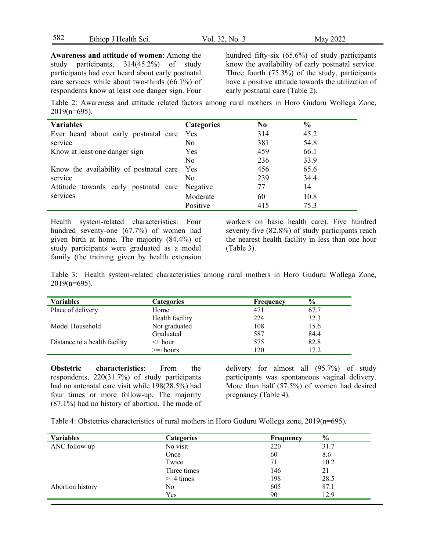| 582 | Ethiop J Health Sci. | Vol. 32, No. 3 | May 2022 |
|-----|----------------------|----------------|----------|
|-----|----------------------|----------------|----------|

**Awareness and attitude of women**: Among the study participants, 314(45.2%) of study participants had ever heard about early postnatal care services while about two-thirds (66.1%) of respondents know at least one danger sign. Four

hundred fifty-six (65.6%) of study participants know the availability of early postnatal service. Three fourth (75.3%) of the study, participants have a positive attitude towards the utilization of early postnatal care (Table 2).

Table 2: Awareness and attitude related factors among rural mothers in Horo Guduru Wollega Zone, 2019(n=695).

| <b>Variables</b>                            | <b>Categories</b> | N <sub>0</sub> | $\frac{0}{0}$ |
|---------------------------------------------|-------------------|----------------|---------------|
| Ever heard about early postnatal care Yes   |                   | 314            | 45.2          |
| service                                     | No.               | 381            | 54.8          |
| Know at least one danger sign               | Yes               | 459            | 66.1          |
|                                             | No                | 236            | 33.9          |
| Know the availability of postnatal care Yes |                   | 456            | 65.6          |
| service                                     | No.               | 239            | 34.4          |
| Attitude towards early postnatal care       | Negative          | 77             | 14            |
| services                                    | Moderate          | 60             | 10.8          |
|                                             | Positive          | 415            | 753           |

Health system-related characteristics: Four hundred seventy-one (67.7%) of women had given birth at home. The majority (84.4%) of study participants were graduated as a model family (the training given by health extension

workers on basic health care). Five hundred seventy-five (82.8%) of study participants reach the nearest health facility in less than one hour (Table 3).

Table 3: Health system-related characteristics among rural mothers in Horo Guduru Wollega Zone, 2019(n=695).

| <b>Variables</b>              | <b>Categories</b> | Frequency | $\frac{6}{9}$ |
|-------------------------------|-------------------|-----------|---------------|
| Place of delivery             | Home              | 471       | 67.7          |
|                               | Health facility   | 224       | 32.3          |
| Model Household               | Not graduated     | 108       | 15.6          |
|                               | Graduated         | 587       | 84.4          |
| Distance to a health facility | $\leq$ 1 hour     | 575       | 82.8          |
|                               | $>=1$ hours       | 120       | 17.2          |

**Obstetric characteristics**: From the respondents, 220(31.7%) of study participants had no antenatal care visit while 198(28.5%) had four times or more follow-up. The majority (87.1%) had no history of abortion. The mode of delivery for almost all (95.7%) of study participants was spontaneous vaginal delivery. More than half (57.5%) of women had desired pregnancy (Table 4).

Table 4: Obstetrics characteristics of rural mothers in Horo Guduru Wollega zone, 2019(n=695).

| <b>Variables</b> | <b>Categories</b> | <b>Frequency</b> | $\frac{6}{10}$ |
|------------------|-------------------|------------------|----------------|
| ANC follow-up    | No visit          | 220              | 31.7           |
|                  | Once              | 60               | 8.6            |
|                  | Twice             | 71               | 10.2           |
|                  | Three times       | 146              | 21             |
|                  | $>=$ 4 times      | 198              | 28.5           |
| Abortion history | No                | 605              | 87.1           |
|                  | Yes               | 90               | 12.9           |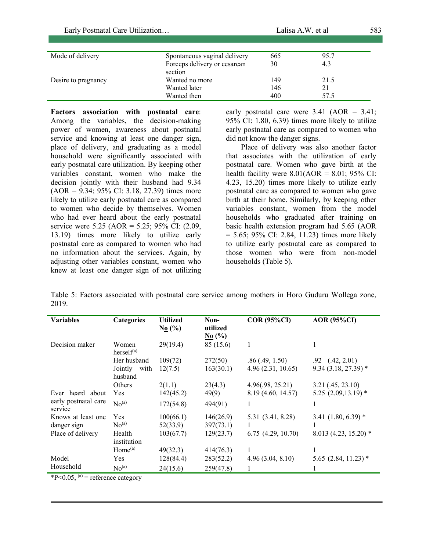| Mode of delivery    | Spontaneous vaginal delivery | 665 | 95.7 |  |
|---------------------|------------------------------|-----|------|--|
|                     | Forceps delivery or cesarean | 30  | 4.3  |  |
|                     | section                      |     |      |  |
| Desire to pregnancy | Wanted no more               | 149 | 21.5 |  |
|                     | Wanted later                 | 146 | 21   |  |
|                     | Wanted then                  | 400 | 57.5 |  |

**Factors association with postnatal care**: Among the variables, the decision-making power of women, awareness about postnatal service and knowing at least one danger sign, place of delivery, and graduating as a model household were significantly associated with early postnatal care utilization. By keeping other variables constant, women who make the decision jointly with their husband had 9.34  $(AOR = 9.34; 95\% \text{ CI: } 3.18, 27.39)$  times more likely to utilize early postnatal care as compared to women who decide by themselves. Women who had ever heard about the early postnatal service were 5.25 (AOR = 5.25; 95% CI: (2.09, 13.19) times more likely to utilize early postnatal care as compared to women who had no information about the services. Again, by adjusting other variables constant, women who knew at least one danger sign of not utilizing early postnatal care were  $3.41$  (AOR =  $3.41$ ; 95% CI: 1.80, 6.39) times more likely to utilize early postnatal care as compared to women who did not know the danger signs.

Place of delivery was also another factor that associates with the utilization of early postnatal care. Women who gave birth at the health facility were  $8.01(AOR = 8.01; 95\% \text{ CI}:$ 4.23, 15.20) times more likely to utilize early postnatal care as compared to women who gave birth at their home. Similarly, by keeping other variables constant, women from the model households who graduated after training on basic health extension program had 5.65 (AOR  $= 5.65$ ; 95% CI: 2.84, 11.23) times more likely to utilize early postnatal care as compared to those women who were from non-model households (Table 5).

Table 5: Factors associated with postnatal care service among mothers in Horo Guduru Wollega zone, 2019.

| <b>Variables</b>                | Categories                                | <b>Utilized</b><br>$N_0$ (%) | Non-<br>utilized<br>$N_0$ (%) | <b>COR (95%CI)</b>                     | <b>AOR</b> (95%CI)                           |
|---------------------------------|-------------------------------------------|------------------------------|-------------------------------|----------------------------------------|----------------------------------------------|
| Decision maker                  | Women<br>herself <sup>(a)</sup>           | 29(19.4)                     | 85 (15.6)                     | 1                                      |                                              |
|                                 | Her husband<br>Jointly<br>with<br>husband | 109(72)<br>12(7.5)           | 272(50)<br>163(30.1)          | .86(.49, 1.50)<br>4.96(2.31, 10.65)    | $.92$ $(.42, 2.01)$<br>$9.34(3.18, 27.39)$ * |
| Ever heard about                | Others<br>Yes                             | 2(1.1)<br>142(45.2)          | 23(4.3)<br>49(9)              | 4.96(.98, 25.21)<br>8.19 (4.60, 14.57) | 3.21(.45, 23.10)<br>$5.25$ $(2.09, 13.19)$ * |
| early postnatal care<br>service | No <sup>(a)</sup>                         | 172(54.8)                    | 494(91)                       | 1                                      |                                              |
| Knows at least one              | Yes                                       | 100(66.1)                    | 146(26.9)                     | 5.31 (3.41, 8.28)                      | 3.41 $(1.80, 6.39)$ *                        |
| danger sign                     | No <sup>(a)</sup>                         | 52(33.9)                     | 397(73.1)                     | 1                                      |                                              |
| Place of delivery               | Health<br>institution                     | 103(67.7)                    | 129(23.7)                     | $6.75$ $(4.29, 10.70)$                 | $8.013(4.23, 15.20)$ *                       |
|                                 | Home <sup>(a)</sup>                       | 49(32.3)                     | 414(76.3)                     | 1                                      |                                              |
| Model                           | Yes                                       | 128(84.4)                    | 283(52.2)                     | 4.96(3.04, 8.10)                       | $5.65$ $(2.84, 11.23)$ *                     |
| Household                       | No <sup>(a)</sup>                         | 24(15.6)                     | 259(47.8)                     | 1                                      |                                              |

 $*P<0.05$ , <sup>(a)</sup> = reference category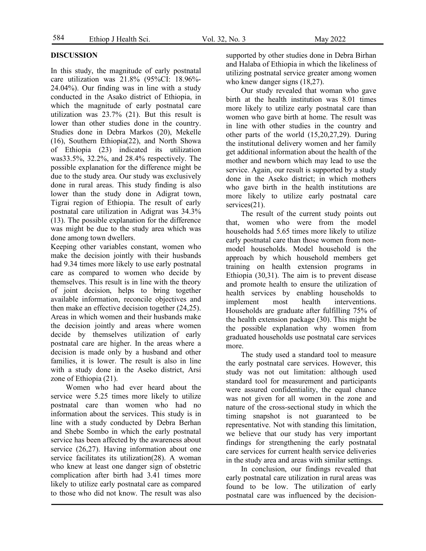## **DISCUSSION**

In this study, the magnitude of early postnatal care utilization was 21.8% (95%CI: 18.96%- 24.04%). Our finding was in line with a study conducted in the Asako district of Ethiopia, in which the magnitude of early postnatal care utilization was 23.7% (21). But this result is lower than other studies done in the country. Studies done in Debra Markos (20), Mekelle (16), Southern Ethiopia(22), and North Showa of Ethiopia (23) indicated its utilization was33.5%, 32.2%, and 28.4% respectively. The possible explanation for the difference might be due to the study area. Our study was exclusively done in rural areas. This study finding is also lower than the study done in Adigrat town, Tigrai region of Ethiopia. The result of early postnatal care utilization in Adigrat was 34.3% (13). The possible explanation for the difference was might be due to the study area which was done among town dwellers.

Keeping other variables constant, women who make the decision jointly with their husbands had 9.34 times more likely to use early postnatal care as compared to women who decide by themselves. This result is in line with the theory of joint decision, helps to bring together available information, reconcile objectives and then make an effective decision together (24,25). Areas in which women and their husbands make the decision jointly and areas where women decide by themselves utilization of early postnatal care are higher. In the areas where a decision is made only by a husband and other families, it is lower. The result is also in line with a study done in the Aseko district, Arsi zone of Ethiopia (21).

Women who had ever heard about the service were 5.25 times more likely to utilize postnatal care than women who had no information about the services. This study is in line with a study conducted by Debra Berhan and Shebe Sombo in which the early postnatal service has been affected by the awareness about service (26,27). Having information about one service facilitates its utilization(28). A woman who knew at least one danger sign of obstetric complication after birth had 3.41 times more likely to utilize early postnatal care as compared to those who did not know. The result was also

supported by other studies done in Debra Birhan and Halaba of Ethiopia in which the likeliness of utilizing postnatal service greater among women who knew danger signs  $(18,27)$ .

Our study revealed that woman who gave birth at the health institution was 8.01 times more likely to utilize early postnatal care than women who gave birth at home. The result was in line with other studies in the country and other parts of the world (15,20,27,29). During the institutional delivery women and her family get additional information about the health of the mother and newborn which may lead to use the service. Again, our result is supported by a study done in the Aseko district; in which mothers who gave birth in the health institutions are more likely to utilize early postnatal care services(21).

The result of the current study points out that, women who were from the model households had 5.65 times more likely to utilize early postnatal care than those women from nonmodel households. Model household is the approach by which household members get training on health extension programs in Ethiopia (30,31). The aim is to prevent disease and promote health to ensure the utilization of health services by enabling households to implement most health interventions. Households are graduate after fulfilling 75% of the health extension package (30). This might be the possible explanation why women from graduated households use postnatal care services more.

The study used a standard tool to measure the early postnatal care services. However, this study was not out limitation: although used standard tool for measurement and participants were assured confidentiality, the equal chance was not given for all women in the zone and nature of the cross-sectional study in which the timing snapshot is not guaranteed to be representative. Not with standing this limitation, we believe that our study has very important findings for strengthening the early postnatal care services for current health service deliveries in the study area and areas with similar settings.

In conclusion, our findings revealed that early postnatal care utilization in rural areas was found to be low. The utilization of early postnatal care was influenced by the decision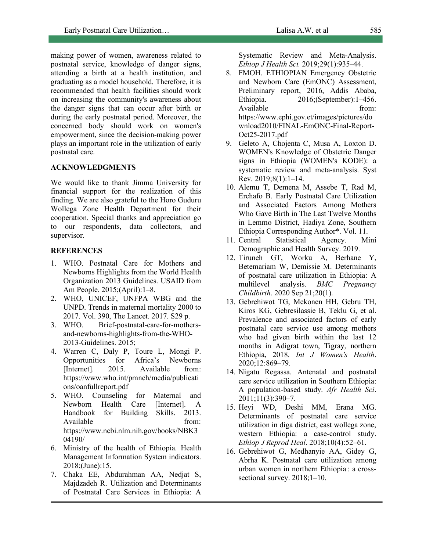making power of women, awareness related to postnatal service, knowledge of danger signs, attending a birth at a health institution, and graduating as a model household. Therefore, it is recommended that health facilities should work on increasing the community's awareness about the danger signs that can occur after birth or during the early postnatal period. Moreover, the concerned body should work on women's empowerment, since the decision-making power plays an important role in the utilization of early postnatal care.

## **ACKNOWLEDGMENTS**

We would like to thank Jimma University for financial support for the realization of this finding. We are also grateful to the Horo Guduru Wollega Zone Health Department for their cooperation. Special thanks and appreciation go to our respondents, data collectors, and supervisor.

## **REFERENCES**

- 1. WHO. Postnatal Care for Mothers and Newborns Highlights from the World Health Organization 2013 Guidelines. USAID from Am People. 2015;(April):1–8.
- 2. WHO, UNICEF, UNFPA WBG and the UNPD. Trends in maternal mortality 2000 to 2017. Vol. 390, The Lancet. 2017. S29 p.
- 3. WHO. Brief-postnatal-care-for-mothersand-newborns-highlights-from-the-WHO-2013-Guidelines. 2015;
- 4. Warren C, Daly P, Toure L, Mongi P. Opportunities for Africa's Newborns [Internet]. 2015. Available from: https://www.who.int/pmnch/media/publicati ons/oanfullreport.pdf
- 5. WHO. Counseling for Maternal and Newborn Health Care [Internet]. A Handbook for Building Skills. 2013. Available from: https://www.ncbi.nlm.nih.gov/books/NBK3 04190/
- 6. Ministry of the health of Ethiopia. Health Management Information System indicators. 2018;(June):15.
- 7. Chaka EE, Abdurahman AA, Nedjat S, Majdzadeh R. Utilization and Determinants of Postnatal Care Services in Ethiopia: A

Systematic Review and Meta-Analysis. *Ethiop J Health Sci.* 2019;29(1):935–44.

- 8. FMOH. ETHIOPIAN Emergency Obstetric and Newborn Care (EmONC) Assessment, Preliminary report, 2016, Addis Ababa, Ethiopia. 2016;(September):1–456. Available from: https://www.ephi.gov.et/images/pictures/do wnload2010/FINAL-EmONC-Final-Report-Oct25-2017.pdf
- 9. Geleto A, Chojenta C, Musa A, Loxton D. WOMEN's Knowledge of Obstetric Danger signs in Ethiopia (WOMEN's KODE): a systematic review and meta-analysis. Syst Rev. 2019;8(1):1–14.
- 10. Alemu T, Demena M, Assebe T, Rad M, Erchafo B. Early Postnatal Care Utilization and Associated Factors Among Mothers Who Gave Birth in The Last Twelve Months in Lemmo District, Hadiya Zone, Southern Ethiopia Corresponding Author\*. Vol. 11.
- 11. Central Statistical Agency. Mini Demographic and Health Survey. 2019.
- 12. Tiruneh GT, Worku A, Berhane Y, Betemariam W, Demissie M. Determinants of postnatal care utilization in Ethiopia: A multilevel analysis. *BMC Pregnancy Childbirth*. 2020 Sep 21;20(1).
- 13. Gebrehiwot TG, Mekonen HH, Gebru TH, Kiros KG, Gebresilassie B, Teklu G, et al. Prevalence and associated factors of early postnatal care service use among mothers who had given birth within the last 12 months in Adigrat town, Tigray, northern Ethiopia, 2018. *Int J Women's Health*. 2020;12:869–79.
- 14. Nigatu Regassa. Antenatal and postnatal care service utilization in Southern Ethiopia: A population-based study. *Afr Health Sci*. 2011;11(3):390–7.
- 15. Heyi WD, Deshi MM, Erana MG. Determinants of postnatal care service utilization in diga district, east wollega zone, western Ethiopia: a case-control study. *Ethiop J Reprod Heal*. 2018;10(4):52–61.
- 16. Gebrehiwot G, Medhanyie AA, Gidey G, Abrha K. Postnatal care utilization among urban women in northern Ethiopia : a crosssectional survey.  $2018;1-10$ .